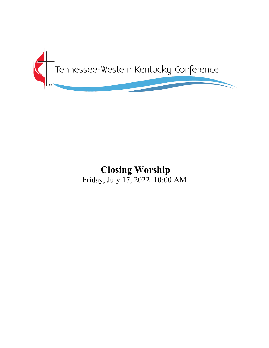

# **Closing Worship** Friday, July 17, 2022 10:00 AM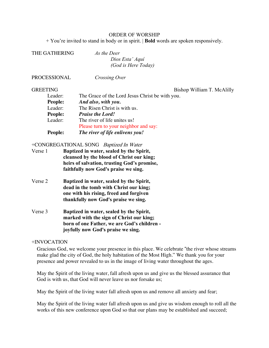#### ORDER OF WORSHIP

+ You're invited to stand in body or in spirit. | **Bold** words are spoken responsively.

| THE GATHERING | As the Deer         |  |
|---------------|---------------------|--|
|               | Dios Esta' Aquí     |  |
|               | (God is Here Today) |  |
|               |                     |  |

*Crossing Over* 

GREETING Bishop William T. McAlilly

| Leader:        | The Grace of the Lord Jesus Christ be with you. |
|----------------|-------------------------------------------------|
| <b>People:</b> | And also, with you.                             |
| Leader:        | The Risen Christ is with us.                    |
| <b>People:</b> | <b>Praise the Lord!</b>                         |
| Leader:        | The river of life unites us!                    |
|                | Please turn to your neighbor and say:           |
| <b>People:</b> | The river of life enlivens you!                 |

#### +CONGREGATIONAL SONG Baptized In Water

| Verse 1 | Baptized in water, sealed by the Spirit,    |
|---------|---------------------------------------------|
|         | cleansed by the blood of Christ our king;   |
|         | heirs of salvation, trusting God's promise, |
|         | faithfully now God's praise we sing.        |

- Verse 2 **Baptized in water, sealed by the Spirit, dead in the tomb with Christ our king; one with his rising, freed and forgiven thankfully now God's praise we sing.**
- Verse 3 **Baptized in water, sealed by the Spirit, marked with the sign of Christ our king; born of one Father, we are God's children joyfully now God's praise we sing.**

#### +INVOCATION

Gracious God, we welcome your presence in this place. We celebrate "the river whose streams make glad the city of God, the holy habitation of the Most High." We thank you for your presence and power revealed to us in the image of living water throughout the ages.

May the Spirit of the living water, fall afresh upon us and give us the blessed assurance that God is with us, that God will never leave us nor forsake us;

May the Spirit of the living water fall afresh upon us and remove all anxiety and fear;

May the Spirit of the living water fall afresh upon us and give us wisdom enough to roll all the works of this new conference upon God so that our plans may be established and succeed;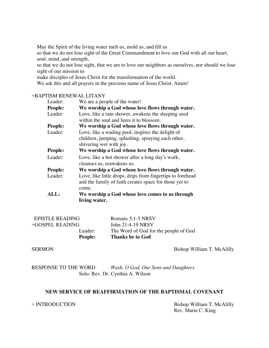May the Spirit of the living water melt us, mold us, and fill us

so that we do not lose sight of the Great Commandment to love our God with all our heart, soul, mind, and strength,

so that we do not lose sight, that we are to love our neighbors as ourselves, nor should we lose sight of our mission to

make disciples of Jesus Christ for the transformation of the world.

We ask this and all prayers in the precious name of Jesus Christ. Amen!

#### +BAPTISM RENEWAL LITANY

| Leader:     | We are a people of the water!                              |  |  |
|-------------|------------------------------------------------------------|--|--|
| People:     | We worship a God whose love flows through water.           |  |  |
| Leader:     | Love, like a rain shower, awakens the sleeping seed        |  |  |
|             | within the soul and lures it to blossom.                   |  |  |
| People:     | We worship a God whose love flows through water.           |  |  |
| Leader:     | Love, like a wading pool, inspires the delight of          |  |  |
|             | children, jumping, splashing, spraying each other,         |  |  |
|             | shivering wet with joy.                                    |  |  |
| People:     | We worship a God whose love flows through water.           |  |  |
| Leader:     | Love, like a hot shower after a long day's work,           |  |  |
|             | cleanses us, reawakens us.                                 |  |  |
| People:     | We worship a God whose love flows through water.           |  |  |
| Leader:     | Love, like little drops, drips from fingertips to forehead |  |  |
|             | and the family of faith creates space for those yet to     |  |  |
|             | come.                                                      |  |  |
| <b>ALL:</b> | We worship a God whose love comes to us through            |  |  |
|             | living water.                                              |  |  |

| <b>EPISTLE READING</b> | Romans 5:1-5 NRSV                     |
|------------------------|---------------------------------------|
| +GOSPEL READING        | John 21:4-19 NRSV                     |
| Leader:                | The Word of God for the people of God |
| <b>People:</b>         | <b>Thanks be to God</b>               |

SERMON Bishop William T. McAlilly

RESPONSE TO THE WORD *Wash, O God, Our Sons and Daughters* Solo: Rev. Dr. Cynthia A. Wilson

#### **NEW SERVICE OF REAFFIRMATION OF THE BAPTISMAL COVENANT**

+ INTRODUCTION Bishop William T. McAlilly Rev. Marie C. King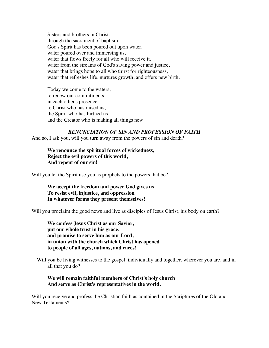Sisters and brothers in Christ: through the sacrament of baptism God's Spirit has been poured out upon water, water poured over and immersing us, water that flows freely for all who will receive it, water from the streams of God's saving power and justice, water that brings hope to all who thirst for righteousness, water that refreshes life, nurtures growth, and offers new birth.

Today we come to the waters, to renew our commitments in each other's presence to Christ who has raised us, the Spirit who has birthed us, and the Creator who is making all things new

*RENUNCIATION OF SIN AND PROFESSION OF FAITH* And so, I ask you, will you turn away from the powers of sin and death?

**We renounce the spiritual forces of wickedness, Reject the evil powers of this world, And repent of our sin!**

Will you let the Spirit use you as prophets to the powers that be?

**We accept the freedom and power God gives us To resist evil, injustice, and oppression In whatever forms they present themselves!**

Will you proclaim the good news and live as disciples of Jesus Christ, his body on earth?

**We confess Jesus Christ as our Savior, put our whole trust in his grace, and promise to serve him as our Lord, in union with the church which Christ has opened to people of all ages, nations, and races!**

Will you be living witnesses to the gospel, individually and together, wherever you are, and in all that you do?

#### **We will remain faithful members of Christ's holy church And serve as Christ's representatives in the world.**

Will you receive and profess the Christian faith as contained in the Scriptures of the Old and New Testaments?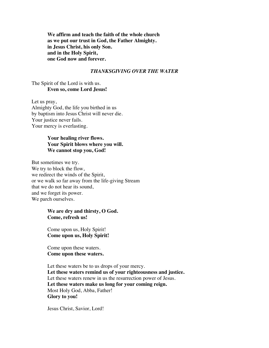**We affirm and teach the faith of the whole church as we put our trust in God, the Father Almighty. in Jesus Christ, his only Son. and in the Holy Spirit, one God now and forever.**

#### *THANKSGIVING OVER THE WATER*

#### The Spirit of the Lord is with us. **Even so, come Lord Jesus!**

Let us pray, Almighty God, the life you birthed in us by baptism into Jesus Christ will never die. Your justice never fails. Your mercy is everlasting.

#### **Your healing river flows. Your Spirit blows where you will. We cannot stop you, God!**

But sometimes we try. We try to block the flow, we redirect the winds of the Spirit, or we walk so far away from the life-giving Stream that we do not hear its sound, and we forget its power. We parch ourselves.

#### **We are dry and thirsty, O God. Come, refresh us!**

Come upon us, Holy Spirit! **Come upon us, Holy Spirit!**

Come upon these waters. **Come upon these waters.**

Let these waters be to us drops of your mercy. **Let these waters remind us of your righteousness and justice.** Let these waters renew in us the resurrection power of Jesus. **Let these waters make us long for your coming reign.** Most Holy God, Abba, Father! **Glory to you!**

Jesus Christ, Savior, Lord!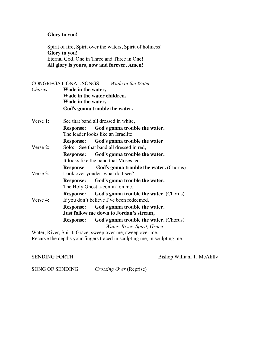#### **Glory to you!**

Spirit of fire, Spirit over the waters, Spirit of holiness! **Glory to you!** Eternal God, One in Three and Three in One! **All glory is yours, now and forever. Amen!**

## CONGREGATIONAL SONGS *Wade in the Water Chorus* **Wade in the water, Wade in the water children, Wade in the water, God**"**s gonna trouble the water.** Verse 1: See that band all dressed in white, **Response: God**"**s gonna trouble the water.** The leader looks like an Israelite **Response: God**"**s gonna trouble the water** Verse 2: Solo: See that band all dressed in red, **Response: God**"**s gonna trouble the water.** It looks like the band that Moses led. **Response God**"**s gonna trouble the water.** (Chorus) Verse 3: Look over yonder, what do I see? **Response: God**"**s gonna trouble the water.** The Holy Ghost a-comin' on me. **Response: God**"**s gonna trouble the water.** (Chorus) Verse 4: If you don't believe I've been redeemed, **Response: God**"**s gonna trouble the water. Just follow me down to Jordan's stream, Response: God**"**s gonna trouble the water.** (Chorus) *Water, River, Spirit, Grace* Water, River, Spirit, Grace, sweep over me, sweep over me. Recarve the depths your fingers traced in sculpting me, in sculpting me.

SENDING FORTH Bishop William T. McAlilly

SONG OF SENDING *Crossing Over* (Reprise)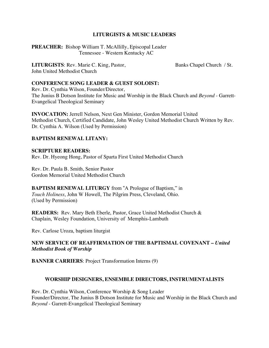#### **LITURGISTS & MUSIC LEADERS**

**PREACHER:** Bishop William T. McAllilly, Episcopal Leader Tennessee - Western Kentucky AC

**LITURGISTS**: Rev. Marie C. King, Pastor, Banks Chapel Church / St. John United Methodist Church

### **CONFERENCE SONG LEADER & GUEST SOLOIST:**

Rev. Dr. Cynthia Wilson, Founder/Director, The Junius B Dotson Institute for Music and Worship in the Black Church and *Beyond* - Garrett-Evangelical Theological Seminary

**INVOCATION:** Jerrell Nelson, Next Gen Minister, Gordon Memorial United Methodist Church, Certified Candidate, John Wesley United Methodist Church Written by Rev. Dr. Cynthia A. Wilson (Used by Permission)

#### **BAPTISM RENEWAL LITANY:**

**SCRIPTURE READERS:** Rev. Dr. Hyeong Hong, Pastor of Sparta First United Methodist Church

Rev. Dr. Paula B. Smith, Senior Pastor Gordon Memorial United Methodist Church

**BAPTISM RENEWAL LITURGY** from !A Prologue of Baptism," in *Touch Holiness*, John W Howell, The Pilgrim Press, Cleveland, Ohio. (Used by Permission)

**READERS:** Rev. Mary Beth Eberle, Pastor, Grace United Methodist Church & Chaplain, Wesley Foundation, University of Memphis-Lambuth

Rev. Carlose Uroza, baptism liturgist

### **NEW SERVICE OF REAFFIRMATION OF THE BAPTISMAL COVENANT –** *United Methodist Book of Worship*

**BANNER CARRIERS**: Project Transformation Interns (9)

#### **WORSHIP DESIGNERS, ENSEMBLE DIRECTORS, INSTRUMENTALISTS**

Rev. Dr. Cynthia Wilson, Conference Worship & Song Leader Founder/Director, The Junius B Dotson Institute for Music and Worship in the Black Church and *Beyond* - Garrett-Evangelical Theological Seminary